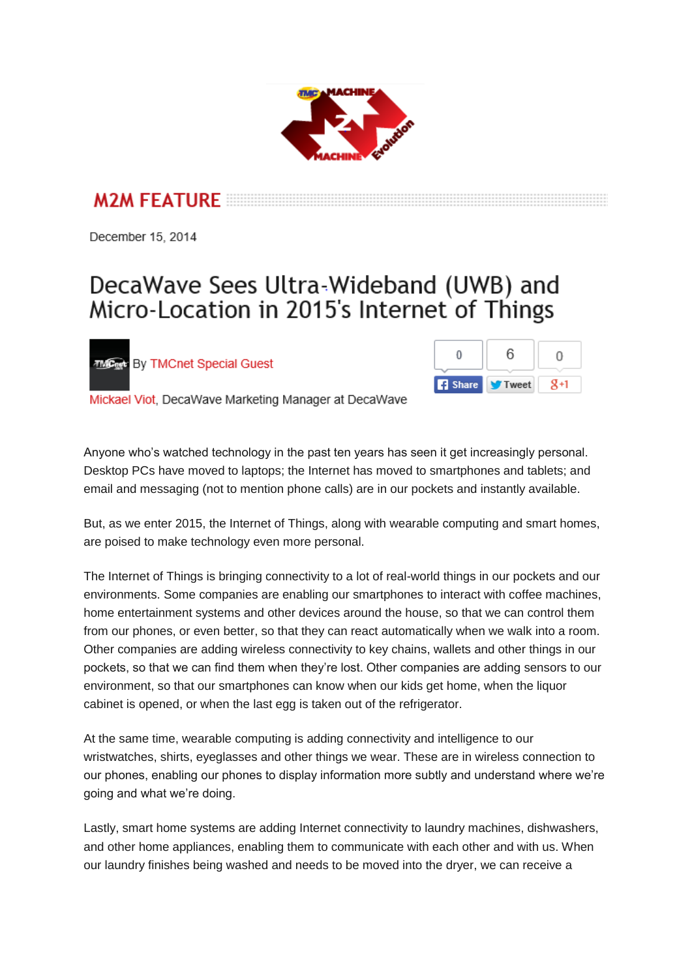

**M2M FFATURE** 

December 15, 2014

## DecaWave Sees Ultra-Wideband (UWB) and Micro-Location in 2015's Internet of Things

**MC<sub>net</sub>:** By TMCnet Special Guest



Mickael Viot, DecaWave Marketing Manager at DecaWave

Anyone who's watched technology in the past ten years has seen it get increasingly personal. Desktop PCs have moved to laptops; the Internet has moved to smartphones and tablets; and email and messaging (not to mention phone calls) are in our pockets and instantly available.

But, as we enter 2015, the Internet of Things, along with wearable computing and smart homes, are poised to make technology even more personal.

The Internet of Things is bringing connectivity to a lot of real-world things in our pockets and our environments. Some companies are enabling our smartphones to interact with coffee machines, home entertainment systems and other devices around the house, so that we can control them from our phones, or even better, so that they can react automatically when we walk into a room. Other companies are adding wireless connectivity to key chains, wallets and other things in our pockets, so that we can find them when they're lost. Other companies are adding sensors to our environment, so that our smartphones can know when our kids get home, when the liquor cabinet is opened, or when the last egg is taken out of the refrigerator.

At the same time, wearable computing is adding connectivity and intelligence to our wristwatches, shirts, eyeglasses and other things we wear. These are in wireless connection to our phones, enabling our phones to display information more subtly and understand where we're going and what we're doing.

Lastly, smart home systems are adding Internet connectivity to laundry machines, dishwashers, and other home appliances, enabling them to communicate with each other and with us. When our laundry finishes being washed and needs to be moved into the dryer, we can receive a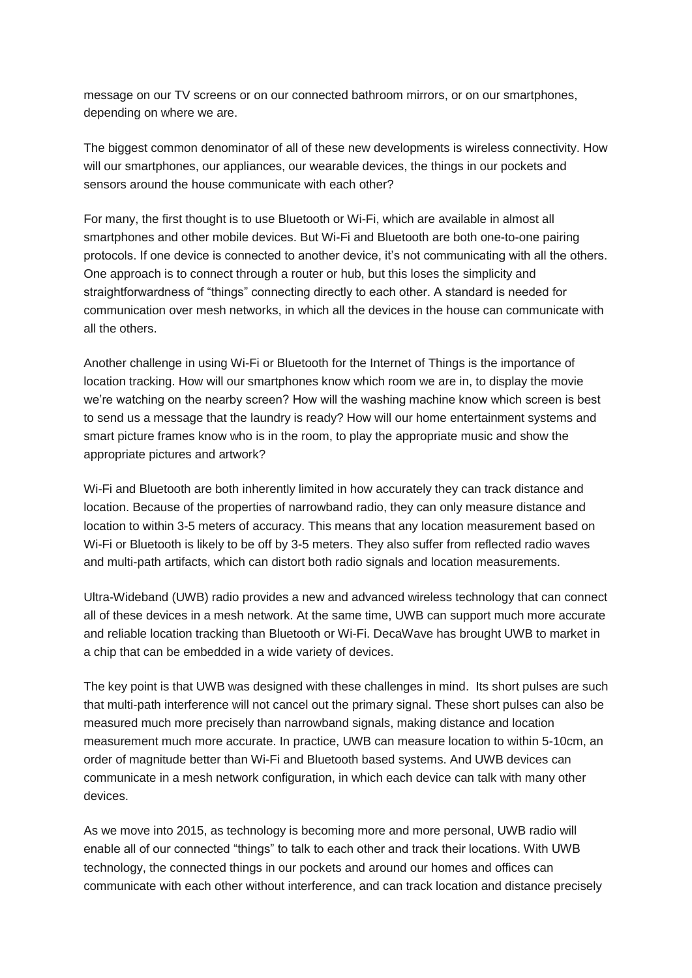message on our TV screens or on our connected bathroom mirrors, or on our smartphones, depending on where we are.

The biggest common denominator of all of these new developments is wireless connectivity. How will our smartphones, our appliances, our wearable devices, the things in our pockets and sensors around the house communicate with each other?

For many, the first thought is to use Bluetooth or Wi-Fi, which are available in almost all smartphones and other mobile devices. But Wi-Fi and Bluetooth are both one-to-one pairing protocols. If one device is connected to another device, it's not communicating with all the others. One approach is to connect through a router or hub, but this loses the simplicity and straightforwardness of "things" connecting directly to each other. A standard is needed for communication over mesh networks, in which all the devices in the house can communicate with all the others.

Another challenge in using Wi-Fi or Bluetooth for the Internet of Things is the importance of location tracking. How will our smartphones know which room we are in, to display the movie we're watching on the nearby screen? How will the washing machine know which screen is best to send us a message that the laundry is ready? How will our home entertainment systems and smart picture frames know who is in the room, to play the appropriate music and show the appropriate pictures and artwork?

Wi-Fi and Bluetooth are both inherently limited in how accurately they can track distance and location. Because of the properties of narrowband radio, they can only measure distance and location to within 3-5 meters of accuracy. This means that any location measurement based on Wi-Fi or Bluetooth is likely to be off by 3-5 meters. They also suffer from reflected radio waves and multi-path artifacts, which can distort both radio signals and location measurements.

Ultra-Wideband (UWB) radio provides a new and advanced wireless technology that can connect all of these devices in a mesh network. At the same time, UWB can support much more accurate and reliable location tracking than Bluetooth or Wi-Fi. DecaWave has brought UWB to market in a chip that can be embedded in a wide variety of devices.

The key point is that UWB was designed with these challenges in mind. Its short pulses are such that multi-path interference will not cancel out the primary signal. These short pulses can also be measured much more precisely than narrowband signals, making distance and location measurement much more accurate. In practice, UWB can measure location to within 5-10cm, an order of magnitude better than Wi-Fi and Bluetooth based systems. And UWB devices can communicate in a mesh network configuration, in which each device can talk with many other devices.

As we move into 2015, as technology is becoming more and more personal, UWB radio will enable all of our connected "things" to talk to each other and track their locations. With UWB technology, the connected things in our pockets and around our homes and offices can communicate with each other without interference, and can track location and distance precisely